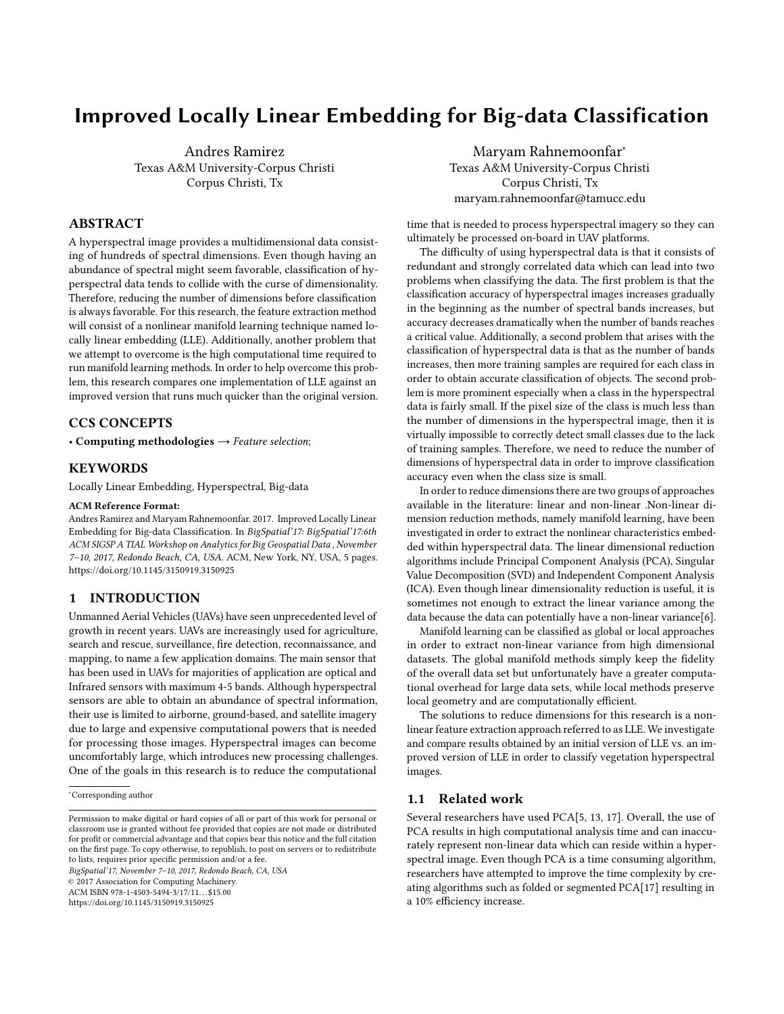# Improved Locally Linear Embedding for Big-data Classification

Andres Ramirez Texas A&M University-Corpus Christi Corpus Christi, Tx

## ABSTRACT

A hyperspectral image provides a multidimensional data consisting of hundreds of spectral dimensions. Even though having an abundance of spectral might seem favorable, classification of hyperspectral data tends to collide with the curse of dimensionality. Therefore, reducing the number of dimensions before classification is always favorable. For this research, the feature extraction method will consist of a nonlinear manifold learning technique named locally linear embedding (LLE). Additionally, another problem that we attempt to overcome is the high computational time required to run manifold learning methods. In order to help overcome this problem, this research compares one implementation of LLE against an improved version that runs much quicker than the original version.

## CCS CONCEPTS

• Computing methodologies  $\rightarrow$  Feature selection;

## KEYWORDS

Locally Linear Embedding, Hyperspectral, Big-data

#### ACM Reference Format:

Andres Ramirez and Maryam Rahnemoonfar. 2017. Improved Locally Linear Embedding for Big-data Classification. In BigSpatial'17: BigSpatial'17:6th ACM SIGSP A TIAL Workshop on Analytics for Big Geospatial Data , November 7–10, 2017, Redondo Beach, CA, USA. ACM, New York, NY, USA, [5](#page-4-0) pages. <https://doi.org/10.1145/3150919.3150925>

## 1 INTRODUCTION

Unmanned Aerial Vehicles (UAVs) have seen unprecedented level of growth in recent years. UAVs are increasingly used for agriculture, search and rescue, surveillance, fire detection, reconnaissance, and mapping, to name a few application domains. The main sensor that has been used in UAVs for majorities of application are optical and Infrared sensors with maximum 4-5 bands. Although hyperspectral sensors are able to obtain an abundance of spectral information, their use is limited to airborne, ground-based, and satellite imagery due to large and expensive computational powers that is needed for processing those images. Hyperspectral images can become uncomfortably large, which introduces new processing challenges. One of the goals in this research is to reduce the computational

BigSpatial'17, November 7–10, 2017, Redondo Beach, CA, USA

© 2017 Association for Computing Machinery.

ACM ISBN 978-1-4503-5494-3/17/11...\$15.00 <https://doi.org/10.1145/3150919.3150925>

Maryam Rahnemoonfar<sup>∗</sup> Texas A&M University-Corpus Christi Corpus Christi, Tx maryam.rahnemoonfar@tamucc.edu

time that is needed to process hyperspectral imagery so they can ultimately be processed on-board in UAV platforms.

The difficulty of using hyperspectral data is that it consists of redundant and strongly correlated data which can lead into two problems when classifying the data. The first problem is that the classification accuracy of hyperspectral images increases gradually in the beginning as the number of spectral bands increases, but accuracy decreases dramatically when the number of bands reaches a critical value. Additionally, a second problem that arises with the classification of hyperspectral data is that as the number of bands increases, then more training samples are required for each class in order to obtain accurate classification of objects. The second problem is more prominent especially when a class in the hyperspectral data is fairly small. If the pixel size of the class is much less than the number of dimensions in the hyperspectral image, then it is virtually impossible to correctly detect small classes due to the lack of training samples. Therefore, we need to reduce the number of dimensions of hyperspectral data in order to improve classification accuracy even when the class size is small.

In order to reduce dimensions there are two groups of approaches available in the literature: linear and non-linear .Non-linear dimension reduction methods, namely manifold learning, have been investigated in order to extract the nonlinear characteristics embedded within hyperspectral data. The linear dimensional reduction algorithms include Principal Component Analysis (PCA), Singular Value Decomposition (SVD) and Independent Component Analysis (ICA). Even though linear dimensionality reduction is useful, it is sometimes not enough to extract the linear variance among the data because the data can potentially have a non-linear variance[\[6\]](#page-3-0).

Manifold learning can be classified as global or local approaches in order to extract non-linear variance from high dimensional datasets. The global manifold methods simply keep the fidelity of the overall data set but unfortunately have a greater computational overhead for large data sets, while local methods preserve local geometry and are computationally efficient.

The solutions to reduce dimensions for this research is a nonlinear feature extraction approach referred to as LLE. We investigate and compare results obtained by an initial version of LLE vs. an improved version of LLE in order to classify vegetation hyperspectral images.

#### 1.1 Related work

Several researchers have used PCA[\[5,](#page-3-1) [13,](#page-4-1) [17\]](#page-4-2). Overall, the use of PCA results in high computational analysis time and can inaccurately represent non-linear data which can reside within a hyperspectral image. Even though PCA is a time consuming algorithm, researchers have attempted to improve the time complexity by creating algorithms such as folded or segmented PCA[\[17\]](#page-4-2) resulting in a 10% efficiency increase.

<sup>∗</sup>Corresponding author

Permission to make digital or hard copies of all or part of this work for personal or classroom use is granted without fee provided that copies are not made or distributed for profit or commercial advantage and that copies bear this notice and the full citation on the first page. To copy otherwise, to republish, to post on servers or to redistribute to lists, requires prior specific permission and/or a fee.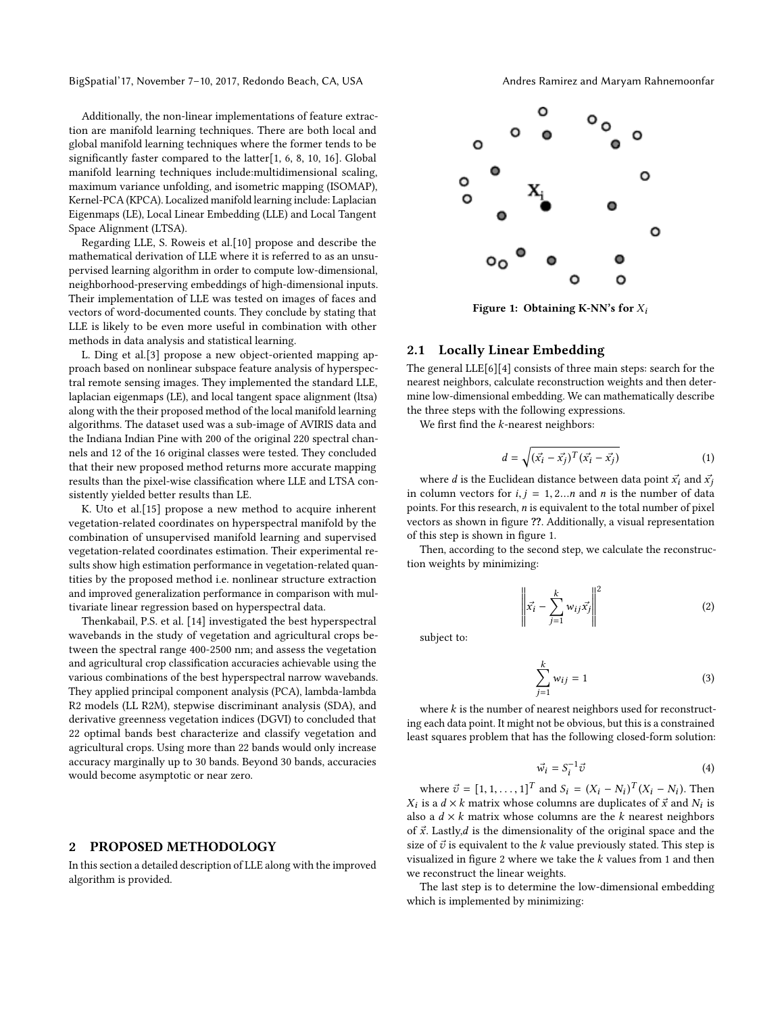BigSpatial'17, November 7-10, 2017, Redondo Beach, CA, USA Andres Ramirez and Maryam Rahnemoonfar

Additionally, the non-linear implementations of feature extraction are manifold learning techniques. There are both local and global manifold learning techniques where the former tends to be significantly faster compared to the latter[\[1,](#page-3-2) [6,](#page-3-0) [8,](#page-3-3) [10,](#page-4-3) [16\]](#page-4-4). Global manifold learning techniques include:multidimensional scaling, maximum variance unfolding, and isometric mapping (ISOMAP), Kernel-PCA (KPCA). Localized manifold learning include: Laplacian Eigenmaps (LE), Local Linear Embedding (LLE) and Local Tangent Space Alignment (LTSA).

Regarding LLE, S. Roweis et al.[\[10\]](#page-4-3) propose and describe the mathematical derivation of LLE where it is referred to as an unsupervised learning algorithm in order to compute low-dimensional, neighborhood-preserving embeddings of high-dimensional inputs. Their implementation of LLE was tested on images of faces and vectors of word-documented counts. They conclude by stating that LLE is likely to be even more useful in combination with other methods in data analysis and statistical learning.

L. Ding et al.[\[3\]](#page-3-4) propose a new object-oriented mapping approach based on nonlinear subspace feature analysis of hyperspectral remote sensing images. They implemented the standard LLE, laplacian eigenmaps (LE), and local tangent space alignment (ltsa) along with the their proposed method of the local manifold learning algorithms. The dataset used was a sub-image of AVIRIS data and the Indiana Indian Pine with 200 of the original 220 spectral channels and 12 of the 16 original classes were tested. They concluded that their new proposed method returns more accurate mapping results than the pixel-wise classification where LLE and LTSA consistently yielded better results than LE.

K. Uto et al.[\[15\]](#page-4-5) propose a new method to acquire inherent vegetation-related coordinates on hyperspectral manifold by the combination of unsupervised manifold learning and supervised vegetation-related coordinates estimation. Their experimental results show high estimation performance in vegetation-related quantities by the proposed method i.e. nonlinear structure extraction and improved generalization performance in comparison with multivariate linear regression based on hyperspectral data.

Thenkabail, P.S. et al. [\[14\]](#page-4-6) investigated the best hyperspectral wavebands in the study of vegetation and agricultural crops between the spectral range 400-2500 nm; and assess the vegetation and agricultural crop classification accuracies achievable using the various combinations of the best hyperspectral narrow wavebands. They applied principal component analysis (PCA), lambda-lambda R2 models (LL R2M), stepwise discriminant analysis (SDA), and derivative greenness vegetation indices (DGVI) to concluded that 22 optimal bands best characterize and classify vegetation and agricultural crops. Using more than 22 bands would only increase accuracy marginally up to 30 bands. Beyond 30 bands, accuracies would become asymptotic or near zero.

#### 2 PROPOSED METHODOLOGY

In this section a detailed description of LLE along with the improved algorithm is provided.

<span id="page-1-0"></span>

Figure 1: Obtaining K-NN's for  $X_i$ 

## 2.1 Locally Linear Embedding

The general LLE[\[6\]](#page-3-0)[\[4\]](#page-3-5) consists of three main steps: search for the nearest neighbors, calculate reconstruction weights and then determine low-dimensional embedding. We can mathematically describe the three steps with the following expressions.

We first find the k-nearest neighbors:

<span id="page-1-1"></span>
$$
d = \sqrt{(\vec{x_i} - \vec{x_j})^T (\vec{x_i} - \vec{x_j})}
$$
 (1)

where d is the Euclidean distance between data point  $\vec{x_i}$  and  $\vec{x_j}$ in column vectors for  $i, j = 1, 2...n$  and n is the number of data points. For this research,  $n$  is equivalent to the total number of pixel vectors as shown in figure ??. Additionally, a visual representation of this step is shown in figure [1.](#page-1-0)

Then, according to the second step, we calculate the reconstruction weights by minimizing:

$$
\left\| \vec{x_i} - \sum_{j=1}^k w_{ij} \vec{x_j} \right\|^2 \tag{2}
$$

subject to:

$$
\sum_{j=1}^{k} w_{ij} = 1
$$
 (3)

where  $k$  is the number of nearest neighbors used for reconstructing each data point. It might not be obvious, but this is a constrained least squares problem that has the following closed-form solution:

<span id="page-1-2"></span>
$$
\vec{w_i} = S_i^{-1} \vec{v} \tag{4}
$$

where  $\vec{v} = [1, 1, \dots, 1]^T$  and  $S_i = (X_i - N_i)^T (X_i - N_i)$ . Then is a  $d \times k$  matrix whose columns are duplicates of  $\vec{x}$  and  $N_i$  is  $X_i$  is a  $d \times k$  matrix whose columns are duplicates of x and  $N_i$  is<br>also a  $d \times k$  matrix whose columns are the k nearest neighbors<br>of  $\vec{x}$  Latly d is the dimensionality of the original space and the is a  $d \times k$  matrix whose columns are duplicates of  $\vec{x}$  and  $N_i$  is of  $\vec{x}$ . Lastly, *d* is the dimensionality of the original space and the size of  $\vec{v}$  is equivalent to the k value previously stated. This step is visualized in figure [2](#page-2-0) where we take the  $k$  values from [1](#page-1-1) and then we reconstruct the linear weights.

The last step is to determine the low-dimensional embedding which is implemented by minimizing: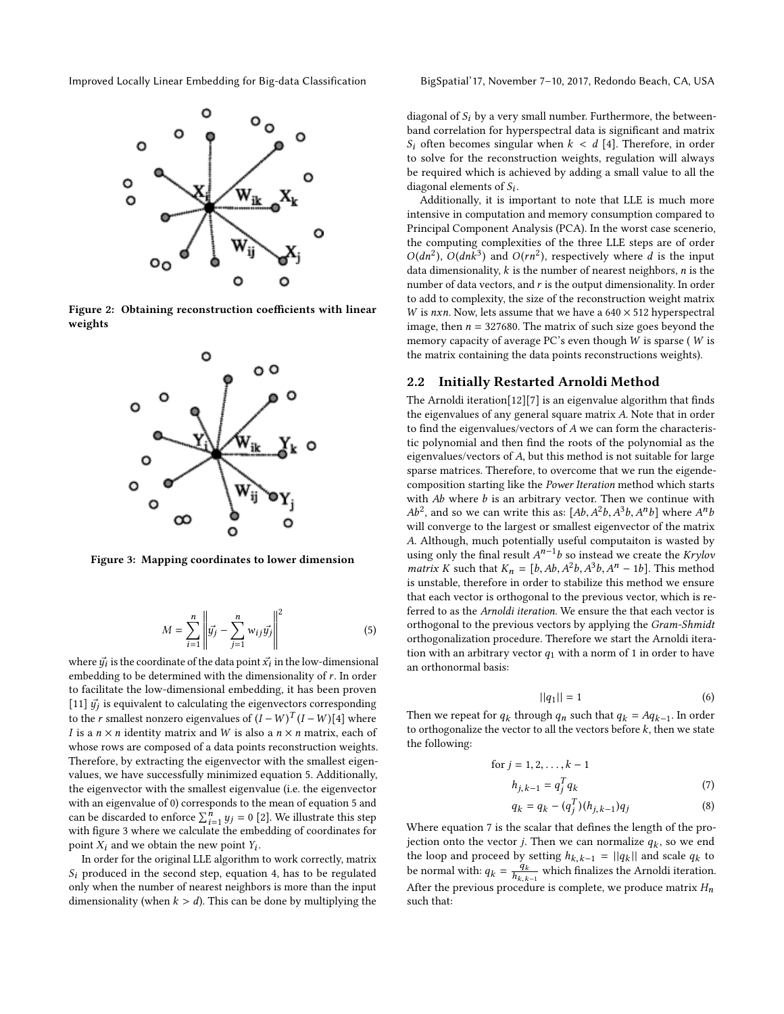<span id="page-2-0"></span>Improved Locally Linear Embedding for Big-data Classification BigSpatial'17, November 7–10, 2017, Redondo Beach, CA, USA



<span id="page-2-2"></span>Figure 2: Obtaining reconstruction coefficients with linear weights



Figure 3: Mapping coordinates to lower dimension

<span id="page-2-1"></span>
$$
M = \sum_{i=1}^{n} \left\| \vec{y_j} - \sum_{j=1}^{n} w_{ij} \vec{y_j} \right\|^2
$$
 (5)

where  $\vec{y_i}$  is the coordinate of the data point  $\vec{x_i}$  in the low-dimensional embedding to be determined with the dimensionality of r. In order embedding to be determined with the dimensionality of r. In order to facilitate the low-dimensional embedding, it has been proven [\[11\]](#page-4-7)  $\vec{y}_j$  is equivalent to calculating the eigenvectors corresponding<br>to the x employ persons eigenvelope of  $(L - W)$ [1] where to the *r* smallest nonzero eigenvalues of  $(I - W)^T (I - W)[4]$  $(I - W)^T (I - W)[4]$  where  $I$  is a *n*  $\times$  *n* identity matrix and  $W$  is also a *n*  $\times$  *n* matrix and of I is a  $n \times n$  identity matrix and W is also a  $n \times n$  matrix, each of whose rows are composed of a data points reconstruction weights. Therefore, by extracting the eigenvector with the smallest eigenvalues, we have successfully minimized equation [5.](#page-2-1) Additionally, the eigenvector with the smallest eigenvalue (i.e. the eigenvector with an eigenvalue of 0) corresponds to the mean of equation [5](#page-2-1) and can be discarded to enforce  $\sum_{i=1}^{n} y_j = 0$  [\[2\]](#page-3-6). We illustrate this step<br>with figure 3 where we calculate the embedding of coordinates for with figure [3](#page-2-2) where we calculate the embedding of coordinates for point  $X_i$  and we obtain the new point  $Y_i$ .<br>In order for the original LLE algorithm

In order for the original LLE algorithm to work correctly, matrix  $S_i$  produced in the second step, equation [4,](#page-1-2) has to be regulated only when the number of nearest neighbors is more than the input dimensionality (when  $k > d$ ). This can be done by multiplying the

diagonal of  $S_i$  by a very small number. Furthermore, the betweenband correlation for hyperspectral data is significant and matrix  $S_i$  often becomes singular when  $k < d$  [\[4\]](#page-3-5). Therefore, in order to solve for the reconstruction weights, regulation will always be required which is achieved by adding a small value to all the diagonal elements of  $S_i$ .<br>Additionally it is im-

Additionally, it is important to note that LLE is much more intensive in computation and memory consumption compared to Principal Component Analysis (PCA). In the worst case scenerio, the computing complexities of the three LLE steps are of order  $O(dn^2)$ ,  $O(dn\bar{k}^3)$  and  $O(rn^2)$ , respectively where d is the input<br>data dimensionality k is the number of nearest neighbors, n is the data dimensionality,  $k$  is the number of nearest neighbors,  $n$  is the number of data vectors, and  $r$  is the output dimensionality. In order to add to complexity, the size of the reconstruction weight matrix W is nxn. Now, lets assume that we have a  $640 \times 512$  hyperspectral image, then  $n = 327680$ . The matrix of such size goes beyond the memory capacity of average PC's even though W is sparse ( W is the matrix containing the data points reconstructions weights).

#### 2.2 Initially Restarted Arnoldi Method

The Arnoldi iteration[\[12\]](#page-4-8)[\[7\]](#page-3-7) is an eigenvalue algorithm that finds the eigenvalues of any general square matrix A. Note that in order to find the eigenvalues/vectors of A we can form the characteristic polynomial and then find the roots of the polynomial as the eigenvalues/vectors of A, but this method is not suitable for large sparse matrices. Therefore, to overcome that we run the eigendecomposition starting like the Power Iteration method which starts with  $Ab$  where  $b$  is an arbitrary vector. Then we continue with  $Ab^2$ , and so we can write this as:  $[Ab, A^2b, A^3b, A^nb]$  where  $A^n$ <br>will converge to the largest or smallest eigenvector of the matri will converge to the largest or smallest eigenvector of the matrix A. Although, much potentially useful computaiton is wasted by using only the final result  $A^{n-1}b$  so instead we create the *Krylov*<br>matrix K such that  $K = [b, Ab, A^2b, A^3b, A^n - 1b]$ . This method matrix K such that  $K_n = [b, Ab, A^2b, A^3b, A^n - 1b]$ . This method<br>is unstable, therefore in order to stabilize this method we ensure is unstable, therefore in order to stabilize this method we ensure that each vector is orthogonal to the previous vector, which is referred to as the Arnoldi iteration. We ensure the that each vector is orthogonal to the previous vectors by applying the Gram-Shmidt orthogonalization procedure. Therefore we start the Arnoldi iteration with an arbitrary vector  $q_1$  with a norm of 1 in order to have an orthonormal basis:

<span id="page-2-3"></span>
$$
||q_1|| = 1 \tag{6}
$$

Then we repeat for  $q_k$  through  $q_n$  such that  $q_k = Aq_{k-1}$ . In order to orthogonalize the vector to all the vectors before k, then we state to orthogonalize the vector to all the vectors before  $k$ , then we state the following:

for 
$$
j = 1, 2, ..., k - 1
$$
  
\n
$$
h_{j,k-1} = q_j^T q_k
$$
\n(7)

$$
q_k = q_k - (q_j^T)(h_{j,k-1})q_j \tag{8}
$$

Where equation [7](#page-2-3) is the scalar that defines the length of the projection onto the vector *j*. Then we can normalize  $q_k$ , so we end<br>the loop and proceed by setting  $h_{k+1} = ||q_k||$  and scale  $q_k$  to the loop and proceed by setting  $h_{k,k-1} = ||q_k||$  and scale  $q_k$  to be normal with  $q_k = \frac{q_k}{k}$  which finalizes the Armeldi iteration be normal with:  $q_k = \frac{q_k}{h_{k,k}}$  $\frac{q_k}{h_{k,k-1}}$  which finalizes the Arnoldi iteration.<br> $\frac{q_k}{h_{k,k-1}}$  which finalizes the Arnoldi iteration. After the previous procedure is complete, we produce matrix  $H_n$ such that: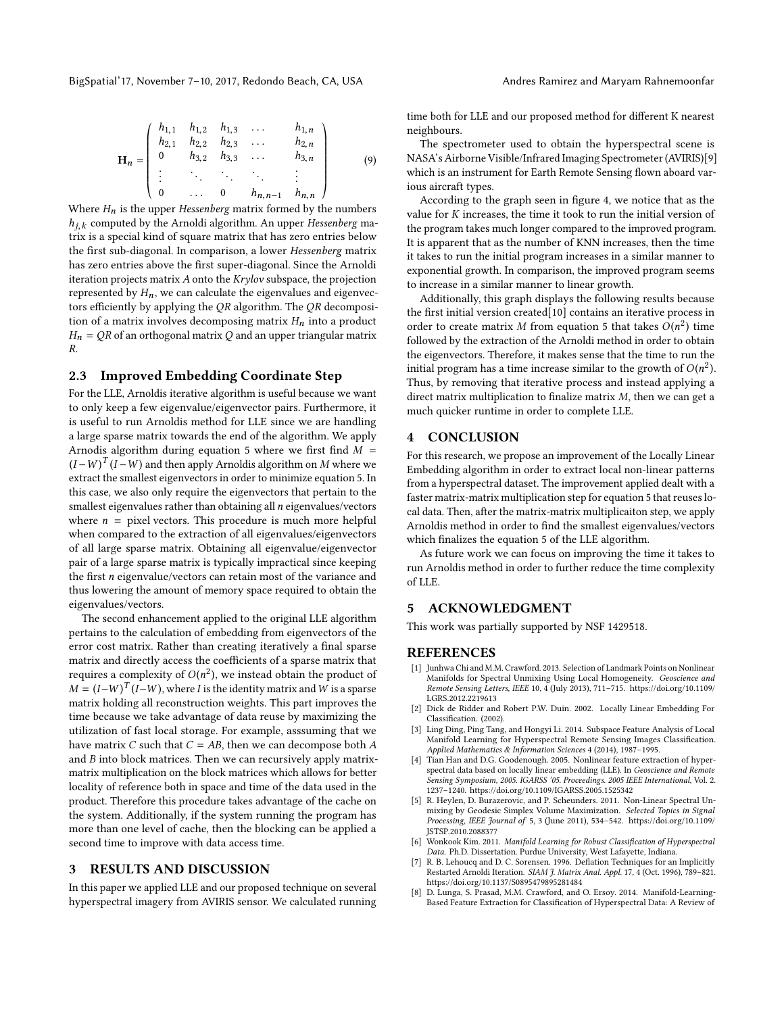$$
\mathbf{H}_n = \begin{pmatrix} h_{1,1} & h_{1,2} & h_{1,3} & \dots & h_{1,n} \\ h_{2,1} & h_{2,2} & h_{2,3} & \dots & h_{2,n} \\ 0 & h_{3,2} & h_{3,3} & \dots & h_{3,n} \\ \vdots & \vdots & \vdots & \ddots & \vdots \\ 0 & \dots & 0 & h_{n,n-1} & h_{n,n} \end{pmatrix}
$$
 (9)

Where  $H_n$  is the upper Hessenberg matrix formed by the numbers  $h_n$  computed by the Arnoldi algorithm. An upper Hessenberg ma $n_{j,k}$  computed by the Arnoldi algorithm. An upper *Hessenberg* matrix is a special kind of square matrix that has zero entries below  $h_{i,k}$  computed by the Arnoldi algorithm. An upper Hessenberg mathe first sub-diagonal. In comparison, a lower Hessenberg matrix has zero entries above the first super-diagonal. Since the Arnoldi iteration projects matrix  $A$  onto the  $Krylov$  subspace, the projection represented by  $H_n$ , we can calculate the eigenvalues and eigenvectors efficiently by applying the QR algorithm. The QR decomposition of a matrix involves decomposing matrix  $H_n$  into a product  $H_n = QR$  of an orthogonal matrix Q and an upper triangular matrix R.

#### 2.3 Improved Embedding Coordinate Step

For the LLE, Arnoldis iterative algorithm is useful because we want to only keep a few eigenvalue/eigenvector pairs. Furthermore, it is useful to run Arnoldis method for LLE since we are handling a large sparse matrix towards the end of the algorithm. We apply Arnodis algorithm during equation [5](#page-2-1) where we first find  $M =$  $(I-W)^{T}(I-W)$  and then apply Arnoldis algorithm on M where we<br>extract the smallest eigenvectors in order to minimize equation 5. In extract the smallest eigenvectors in order to minimize equation [5.](#page-2-1) In this case, we also only require the eigenvectors that pertain to the smallest eigenvalues rather than obtaining all  $n$  eigenvalues/vectors where  $n =$  pixel vectors. This procedure is much more helpful when compared to the extraction of all eigenvalues/eigenvectors of all large sparse matrix. Obtaining all eigenvalue/eigenvector pair of a large sparse matrix is typically impractical since keeping the first  $n$  eigenvalue/vectors can retain most of the variance and thus lowering the amount of memory space required to obtain the eigenvalues/vectors.

The second enhancement applied to the original LLE algorithm pertains to the calculation of embedding from eigenvectors of the error cost matrix. Rather than creating iteratively a final sparse matrix and directly access the coefficients of a sparse matrix that requires a complexity of  $O(n^2)$ , we instead obtain the product of  $M - (I - W)T(I - W)$  where L is the identity matrix and W is a sparse  $M = (I - W)^T (I - W)$ , where I is the identity matrix and W is a sparse<br>matrix holding all reconstruction weights. This part improves the matrix holding all reconstruction weights. This part improves the time because we take advantage of data reuse by maximizing the utilization of fast local storage. For example, asssuming that we have matrix  $C$  such that  $C = AB$ , then we can decompose both  $A$ and  $B$  into block matrices. Then we can recursively apply matrixmatrix multiplication on the block matrices which allows for better locality of reference both in space and time of the data used in the product. Therefore this procedure takes advantage of the cache on the system. Additionally, if the system running the program has more than one level of cache, then the blocking can be applied a second time to improve with data access time.

### 3 RESULTS AND DISCUSSION

In this paper we applied LLE and our proposed technique on several hyperspectral imagery from AVIRIS sensor. We calculated running time both for LLE and our proposed method for different K nearest neighbours.

The spectrometer used to obtain the hyperspectral scene is NASA's Airborne Visible/Infrared Imaging Spectrometer (AVIRIS)[\[9\]](#page-4-9) which is an instrument for Earth Remote Sensing flown aboard various aircraft types.

According to the graph seen in figure [4,](#page-4-10) we notice that as the value for  $K$  increases, the time it took to run the initial version of the program takes much longer compared to the improved program. It is apparent that as the number of KNN increases, then the time it takes to run the initial program increases in a similar manner to exponential growth. In comparison, the improved program seems to increase in a similar manner to linear growth.

Additionally, this graph displays the following results because the first initial version created[\[10\]](#page-4-3) contains an iterative process in order to create matrix M from equation [5](#page-2-1) that takes  $O(n^2)$  time<br>followed by the extraction of the Arnoldi method in order to obtain followed by the extraction of the Arnoldi method in order to obtain the eigenvectors. Therefore, it makes sense that the time to run the initial program has a time increase similar to the growth of  $O(n^2)$ .<br>Thus, by removing that iterative process and instead applying a Thus, by removing that iterative process and instead applying a direct matrix multiplication to finalize matrix  $M$ , then we can get a much quicker runtime in order to complete LLE.

### 4 CONCLUSION

For this research, we propose an improvement of the Locally Linear Embedding algorithm in order to extract local non-linear patterns from a hyperspectral dataset. The improvement applied dealt with a faster matrix-matrix multiplication step for equation [5](#page-2-1) that reuses local data. Then, after the matrix-matrix multiplicaiton step, we apply Arnoldis method in order to find the smallest eigenvalues/vectors which finalizes the equation [5](#page-2-1) of the LLE algorithm.

As future work we can focus on improving the time it takes to run Arnoldis method in order to further reduce the time complexity of LLE.

#### 5 ACKNOWLEDGMENT

This work was partially supported by NSF 1429518.

#### **REFERENCES**

- <span id="page-3-2"></span>[1] Junhwa Chi and M.M. Crawford. 2013. Selection of Landmark Points on Nonlinear Manifolds for Spectral Unmixing Using Local Homogeneity. Geoscience and Remote Sensing Letters, IEEE 10, 4 (July 2013), 711–715. [https://doi.org/10.1109/](https://doi.org/10.1109/LGRS.2012.2219613) [LGRS.2012.2219613](https://doi.org/10.1109/LGRS.2012.2219613)
- <span id="page-3-6"></span>[2] Dick de Ridder and Robert P.W. Duin. 2002. Locally Linear Embedding For Classification. (2002).
- <span id="page-3-4"></span>Ling Ding, Ping Tang, and Hongyi Li. 2014. Subspace Feature Analysis of Local Manifold Learning for Hyperspectral Remote Sensing Images Classification. Applied Mathematics & Information Sciences 4 (2014), 1987–1995.
- <span id="page-3-5"></span>[4] Tian Han and D.G. Goodenough. 2005. Nonlinear feature extraction of hyperspectral data based on locally linear embedding (LLE). In Geoscience and Remote Sensing Symposium, 2005. IGARSS '05. Proceedings. 2005 IEEE International, Vol. 2. 1237–1240.<https://doi.org/10.1109/IGARSS.2005.1525342>
- <span id="page-3-1"></span>[5] R. Heylen, D. Burazerovic, and P. Scheunders. 2011. Non-Linear Spectral Unmixing by Geodesic Simplex Volume Maximization. Selected Topics in Signal Processing, IEEE Journal of 5, 3 (June 2011), 534–542. [https://doi.org/10.1109/](https://doi.org/10.1109/JSTSP.2010.2088377) [JSTSP.2010.2088377](https://doi.org/10.1109/JSTSP.2010.2088377)
- <span id="page-3-0"></span>[6] Wonkook Kim. 2011. Manifold Learning for Robust Classification of Hyperspectral Data. Ph.D. Dissertation. Purdue University, West Lafayette, Indiana.
- <span id="page-3-7"></span>[7] R. B. Lehoucq and D. C. Sorensen. 1996. Deflation Techniques for an Implicitly Restarted Arnoldi Iteration. SIAM J. Matrix Anal. Appl. 17, 4 (Oct. 1996), 789–821. <https://doi.org/10.1137/S0895479895281484>
- <span id="page-3-3"></span>[8] D. Lunga, S. Prasad, M.M. Crawford, and O. Ersoy. 2014. Manifold-Learning-Based Feature Extraction for Classification of Hyperspectral Data: A Review of